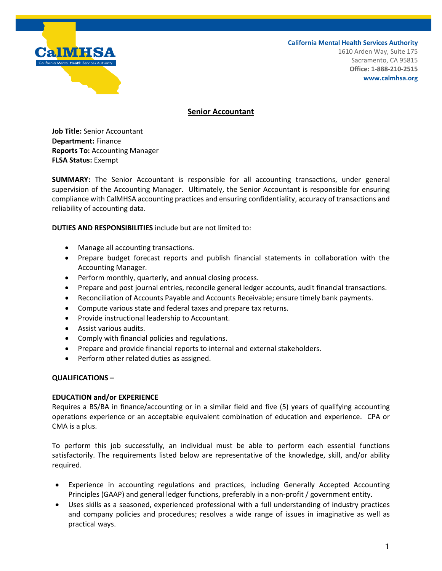

**California Mental Health Services Authority**

1610 Arden Way, Suite 175 Sacramento, CA 95815 **Office: 1-888-210-2515 www.calmhsa.org**

## **Senior Accountant**

**Job Title:** Senior Accountant **Department:** Finance **Reports To:** Accounting Manager **FLSA Status:** Exempt

**SUMMARY:** The Senior Accountant is responsible for all accounting transactions, under general supervision of the Accounting Manager. Ultimately, the Senior Accountant is responsible for ensuring compliance with CalMHSA accounting practices and ensuring confidentiality, accuracy of transactions and reliability of accounting data.

**DUTIES AND RESPONSIBILITIES** include but are not limited to:

- Manage all accounting transactions.
- Prepare budget forecast reports and publish financial statements in collaboration with the Accounting Manager.
- Perform monthly, quarterly, and annual closing process.
- Prepare and post journal entries, reconcile general ledger accounts, audit financial transactions.
- Reconciliation of Accounts Payable and Accounts Receivable; ensure timely bank payments.
- Compute various state and federal taxes and prepare tax returns.
- Provide instructional leadership to Accountant.
- Assist various audits.
- Comply with financial policies and regulations.
- Prepare and provide financial reports to internal and external stakeholders.
- Perform other related duties as assigned.

## **QUALIFICATIONS –**

## **EDUCATION and/or EXPERIENCE**

Requires a BS/BA in finance/accounting or in a similar field and five (5) years of qualifying accounting operations experience or an acceptable equivalent combination of education and experience. CPA or CMA is a plus.

To perform this job successfully, an individual must be able to perform each essential functions satisfactorily. The requirements listed below are representative of the knowledge, skill, and/or ability required.

- Experience in accounting regulations and practices, including Generally Accepted Accounting Principles (GAAP) and general ledger functions, preferably in a non-profit / government entity.
- Uses skills as a seasoned, experienced professional with a full understanding of industry practices and company policies and procedures; resolves a wide range of issues in imaginative as well as practical ways.